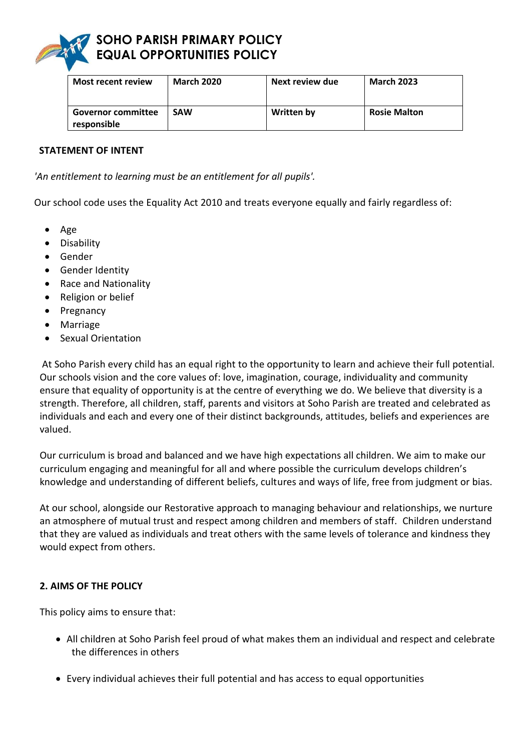

| <b>Most recent review</b>                | <b>March 2020</b> | Next review due | <b>March 2023</b>   |
|------------------------------------------|-------------------|-----------------|---------------------|
| <b>Governor committee</b><br>responsible | <b>SAW</b>        | Written by      | <b>Rosie Malton</b> |

#### **STATEMENT OF INTENT**

*'An entitlement to learning must be an entitlement for all pupils'.* 

Our school code uses the Equality Act 2010 and treats everyone equally and fairly regardless of:

- Age
- **•** Disability
- Gender
- **•** Gender Identity
- Race and Nationality
- Religion or belief
- Pregnancy
- Marriage
- Sexual Orientation

 At Soho Parish every child has an equal right to the opportunity to learn and achieve their full potential. Our schools vision and the core values of: love, imagination, courage, individuality and community ensure that equality of opportunity is at the centre of everything we do. We believe that diversity is a strength. Therefore, all children, staff, parents and visitors at Soho Parish are treated and celebrated as individuals and each and every one of their distinct backgrounds, attitudes, beliefs and experiences are valued.

Our curriculum is broad and balanced and we have high expectations all children. We aim to make our curriculum engaging and meaningful for all and where possible the curriculum develops children's knowledge and understanding of different beliefs, cultures and ways of life, free from judgment or bias.

At our school, alongside our Restorative approach to managing behaviour and relationships, we nurture an atmosphere of mutual trust and respect among children and members of staff. Children understand that they are valued as individuals and treat others with the same levels of tolerance and kindness they would expect from others.

#### **2. AIMS OF THE POLICY**

This policy aims to ensure that:

- All children at Soho Parish feel proud of what makes them an individual and respect and celebrate the differences in others
- Every individual achieves their full potential and has access to equal opportunities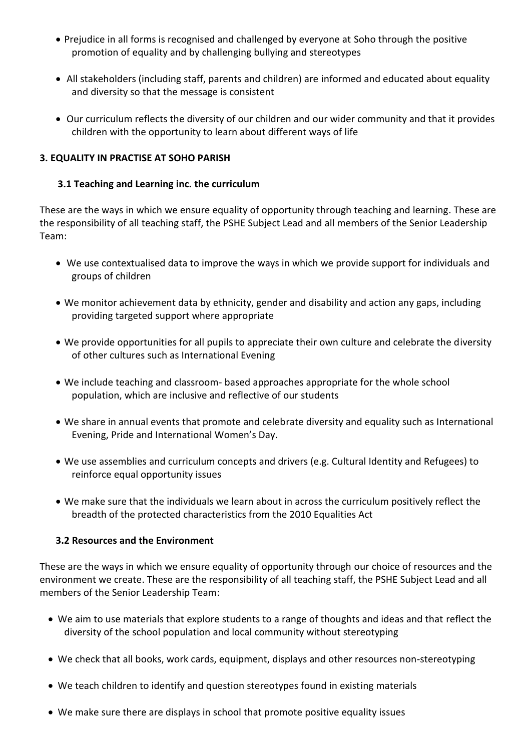- Prejudice in all forms is recognised and challenged by everyone at Soho through the positive promotion of equality and by challenging bullying and stereotypes
- All stakeholders (including staff, parents and children) are informed and educated about equality and diversity so that the message is consistent
- Our curriculum reflects the diversity of our children and our wider community and that it provides children with the opportunity to learn about different ways of life

# **3. EQUALITY IN PRACTISE AT SOHO PARISH**

# **3.1 Teaching and Learning inc. the curriculum**

These are the ways in which we ensure equality of opportunity through teaching and learning. These are the responsibility of all teaching staff, the PSHE Subject Lead and all members of the Senior Leadership Team:

- We use contextualised data to improve the ways in which we provide support for individuals and groups of children
- We monitor achievement data by ethnicity, gender and disability and action any gaps, including providing targeted support where appropriate
- We provide opportunities for all pupils to appreciate their own culture and celebrate the diversity of other cultures such as International Evening
- We include teaching and classroom- based approaches appropriate for the whole school population, which are inclusive and reflective of our students
- We share in annual events that promote and celebrate diversity and equality such as International Evening, Pride and International Women's Day.
- We use assemblies and curriculum concepts and drivers (e.g. Cultural Identity and Refugees) to reinforce equal opportunity issues
- We make sure that the individuals we learn about in across the curriculum positively reflect the breadth of the protected characteristics from the 2010 Equalities Act

## **3.2 Resources and the Environment**

These are the ways in which we ensure equality of opportunity through our choice of resources and the environment we create. These are the responsibility of all teaching staff, the PSHE Subject Lead and all members of the Senior Leadership Team:

- We aim to use materials that explore students to a range of thoughts and ideas and that reflect the diversity of the school population and local community without stereotyping
- We check that all books, work cards, equipment, displays and other resources non-stereotyping
- We teach children to identify and question stereotypes found in existing materials
- We make sure there are displays in school that promote positive equality issues